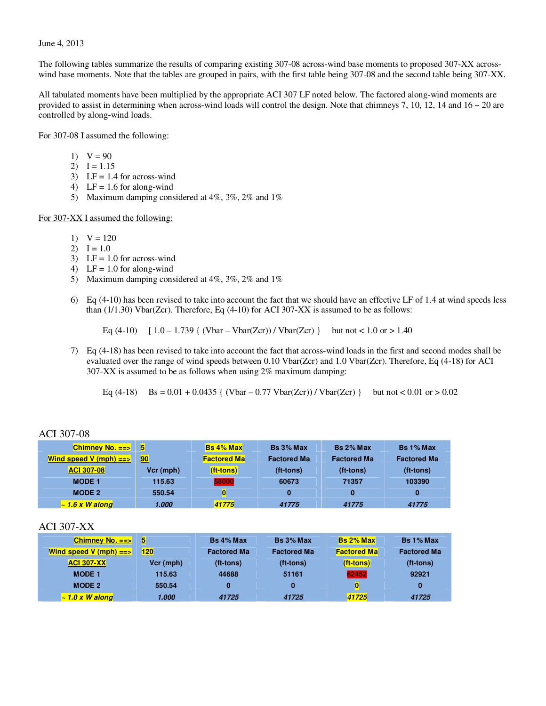#### June 4, 2013

The following tables summarize the results of comparing existing 307-08 across-wind base moments to proposed 307-XX acrosswind base moments. Note that the tables are grouped in pairs, with the first table being 307-08 and the second table being 307-XX.

All tabulated moments have been multiplied by the appropriate ACI 307 LF noted below. The factored along-wind moments are provided to assist in determining when across-wind loads will control the design. Note that chimneys 7, 10, 12, 14 and  $16 \sim 20$  are controlled by along-wind loads.

#### For 307-08 I assumed the following:

- 1)  $V = 90$
- 2)  $I = 1.15$
- 3) LF = 1.4 for across-wind
- 4) LF =  $1.6$  for along-wind
- 5) Maximum damping considered at 4%, 3%, 2% and 1%

#### For 307-XX I assumed the following:

- 1)  $V = 120$
- 2)  $I = 1.0$
- 3) LF =  $1.0$  for across-wind
- 4) LF =  $1.0$  for along-wind
- 5) Maximum damping considered at 4%, 3%, 2% and 1%
- 6) Eq (4-10) has been revised to take into account the fact that we should have an effective LF of 1.4 at wind speeds less than  $(1/1.30)$  Vbar(Zcr). Therefore, Eq  $(4-10)$  for ACI 307-XX is assumed to be as follows:

Eq  $(4-10)$  [  $1.0 - 1.739$  {  $(Vbar - Vbar(Zcr)) / Vbar(Zcr)$  } but not < 1.0 or > 1.40

7) Eq (4-18) has been revised to take into account the fact that across-wind loads in the first and second modes shall be evaluated over the range of wind speeds between 0.10 Vbar(Zcr) and 1.0 Vbar(Zcr). Therefore, Eq (4-18) for ACI 307-XX is assumed to be as follows when using 2% maximum damping:

Eq  $(4-18)$  Bs =  $0.01 + 0.0435$  {  $(Vbar - 0.77 Vbar(Zcr)) / Vbar(Zcr)$  } but not < 0.01 or > 0.02

| <u>Chimney No. ==&gt;</u> | 5         | <b>Bs 4% Max</b>   | Bs 3% Max          | $Bs 2%$ Max        | Bs 1% Max          |
|---------------------------|-----------|--------------------|--------------------|--------------------|--------------------|
| Wind speed $V$ (mph) $==$ | 90        | <b>Factored Ma</b> | <b>Factored Ma</b> | <b>Factored Ma</b> | <b>Factored Ma</b> |
| <b>ACI 307-08</b>         | Vcr (mph) | (ft-tons)          | (ft-tons)          | (ft-tons)          | (ft-tons)          |
| <b>MODE 1</b>             | 115.63    | 58000              | 60673              | 71357              | 103390             |
| <b>MODE 2</b>             | 550.54    | $\bf{0}$           |                    |                    | 0                  |
| $\sim$ 1.6 x W along      | 1.000     | 41775              | 41775              | 41775              | 41775              |

#### ACI 307-08

| Chimney No. $==$        | 5           | <b>Bs 4% Max</b>   | Bs 3% Max          | $\mathsf{Bs}2\%$ Max | <b>Bs 1% Max</b>   |
|-------------------------|-------------|--------------------|--------------------|----------------------|--------------------|
| Wind speed V (mph) $==$ | <u> 120</u> | <b>Factored Ma</b> | <b>Factored Ma</b> | <b>Factored Ma</b>   | <b>Factored Ma</b> |
| <b>ACI 307-XX</b>       | Vcr (mph)   | (ft-tons)          | (ft-tons)          | (ft-tons)            | (ft-tons)          |
| <b>MODE 1</b>           | 115.63      | 44688              | 51161              | 62452                | 92921              |
| <b>MODE 2</b>           | 550.54      | 0                  | $\bf{0}$           | $\bf{0}$             | $\bf{0}$           |
| $\sim$ 1.0 x W along    | 1.000       | 41725              | 41725              | 41725                | 41725              |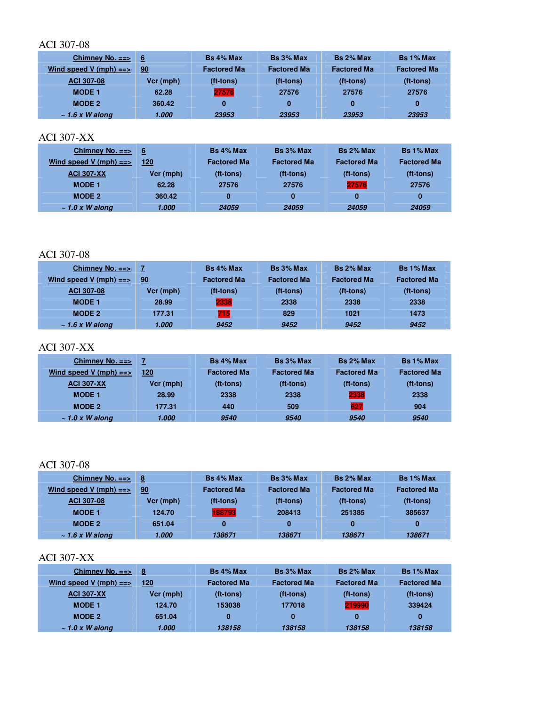| Chimney No. $==$        | <b>16</b> | Bs 4% Max          | Bs 3% Max          | Bs 2% Max          | Bs 1% Max          |
|-------------------------|-----------|--------------------|--------------------|--------------------|--------------------|
| Wind speed V (mph) $==$ | 90        | <b>Factored Ma</b> | <b>Factored Ma</b> | <b>Factored Ma</b> | <b>Factored Ma</b> |
| <b>ACI 307-08</b>       | Vcr (mph) | (ft-tons)          | (ft-tons)          | (ft-tons)          | (ft-tons)          |
| <b>MODE 1</b>           | 62.28     | 27576              | 27576              | 27576              | 27576              |
| MODE 2                  | 360.42    | 0                  | 0                  | 0                  | 0                  |
| $\sim$ 1.6 x W along    | 1.000     | 23953              | 23953              | 23953              | 23953              |

### ACI 307-XX

| Chimney No. $==$        | 6         | <b>Bs 4% Max</b>   | Bs 3% Max          | Bs 2% Max          | <b>Bs 1% Max</b>   |
|-------------------------|-----------|--------------------|--------------------|--------------------|--------------------|
| Wind speed V (mph) $==$ | 120       | <b>Factored Ma</b> | <b>Factored Ma</b> | <b>Factored Ma</b> | <b>Factored Ma</b> |
| <b>ACI 307-XX</b>       | Vcr (mph) | (ft-tons)          | (ft-tons)          | (ft-tons)          | (ft-tons)          |
| <b>MODE 1</b>           | 62.28     | 27576              | 27576              | 27576              | 27576              |
| <b>MODE 2</b>           | 360.42    | 0                  | $\bf{0}$           | 0                  | $\bf{0}$           |
| $\sim$ 1.0 x W along    | 1.000     | 24059              | 24059              | 24059              | 24059              |

#### ACI 307-08

| Chimney No. $==$        |           | Bs 4% Max          | Bs 3% Max          | Bs 2% Max          | Bs 1% Max          |
|-------------------------|-----------|--------------------|--------------------|--------------------|--------------------|
| Wind speed V (mph) $==$ | 90        | <b>Factored Ma</b> | <b>Factored Ma</b> | <b>Factored Ma</b> | <b>Factored Ma</b> |
| <b>ACI 307-08</b>       | Vcr (mph) | (ft-tons)          | (ft-tons)          | (ft-tons)          | (ft-tons)          |
| <b>MODE 1</b>           | 28.99     | 2338               | 2338               | 2338               | 2338               |
| <b>MODE 2</b>           | 177.31    | 715                | 829                | 1021               | 1473               |
| $\sim$ 1.6 x W along    | 1.000     | 9452               | 9452               | 9452               | 9452               |

# ACI 307-XX

| Chimney No. $==$        |           | <b>Bs</b> 4% Max   | Bs 3% Max          | Bs 2% Max          | Bs 1% Max          |
|-------------------------|-----------|--------------------|--------------------|--------------------|--------------------|
| Wind speed V (mph) $==$ | 120       | <b>Factored Ma</b> | <b>Factored Ma</b> | <b>Factored Ma</b> | <b>Factored Ma</b> |
| <b>ACI 307-XX</b>       | Vcr (mph) | (ft-tons)          | (ft-tons)          | (ft-tons)          | $(t - t)$          |
| <b>MODE 1</b>           | 28.99     | 2338               | 2338               | 2338               | 2338               |
| <b>MODE 2</b>           | 177.31    | 440                | 509                | 627                | 904                |
| $\sim$ 1.0 x W along    | 1.000     | 9540               | 9540               | 9540               | 9540               |

# ACI 307-08

| Chimney No. $==$        | - 8       | Bs 4% Max          | Bs 3% Max          | Bs 2% Max          | Bs 1% Max          |
|-------------------------|-----------|--------------------|--------------------|--------------------|--------------------|
| Wind speed V (mph) $==$ | 90        | <b>Factored Ma</b> | <b>Factored Ma</b> | <b>Factored Ma</b> | <b>Factored Ma</b> |
| <b>ACI 307-08</b>       | Vcr (mph) | (ft-tons)          | (ft-tons)          | (ft-tons)          | (ft-tons)          |
| <b>MODE 1</b>           | 124.70    | 188793             | 208413             | 251385             | 385637             |
| <b>MODE 2</b>           | 651.04    | 0                  | 0                  |                    | 0                  |
| $\sim$ 1.6 x W along    | 1.000     | 138671             | 138671             | 138671             | 138671             |

| Chimney No. $==$        | - 8       | <b>Bs</b> 4% Max   | Bs 3% Max          | <b>Bs 2% Max</b>   | Bs 1% Max          |
|-------------------------|-----------|--------------------|--------------------|--------------------|--------------------|
| Wind speed V (mph) $==$ | 120       | <b>Factored Ma</b> | <b>Factored Ma</b> | <b>Factored Ma</b> | <b>Factored Ma</b> |
| <b>ACI 307-XX</b>       | Vcr (mph) | (ft-tons)          | (ft-tons)          | (ft-tons)          | (ft-tons)          |
| <b>MODE 1</b>           | 124.70    | 153038             | 177018             | 219990             | 339424             |
| <b>MODE 2</b>           | 651.04    | 0                  | 0                  | 0                  | 0                  |
| $\sim$ 1.0 x W along    | 1.000     | 138158             | 138158             | 138158             | 138158             |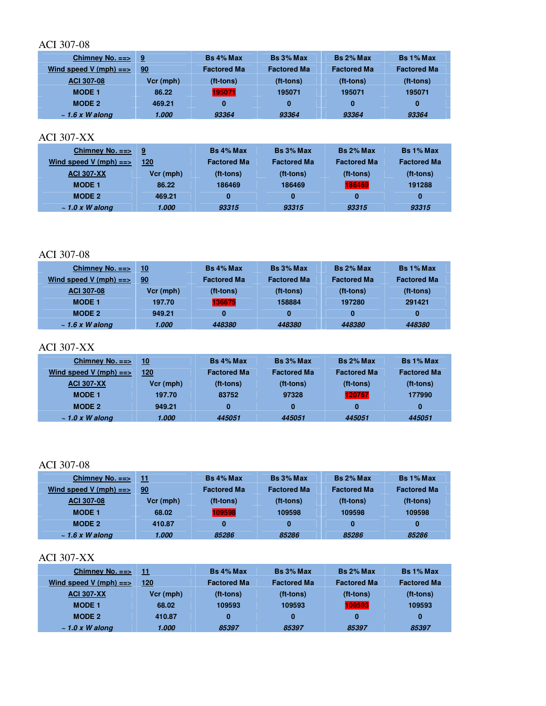| Chimney No. $==$        | ∣9        | Bs 4% Max          | Bs 3% Max          | Bs 2% Max          | Bs 1% Max          |
|-------------------------|-----------|--------------------|--------------------|--------------------|--------------------|
| Wind speed V (mph) $==$ | 90        | <b>Factored Ma</b> | <b>Factored Ma</b> | <b>Factored Ma</b> | <b>Factored Ma</b> |
| <b>ACI 307-08</b>       | Vcr (mph) | (ft-tons)          | (ft-tons)          | (ft-tons)          | (ft-tons)          |
| <b>MODE 1</b>           | 86.22     | 195071             | 195071             | 195071             | 195071             |
| MODE 2                  | 469.21    | 0                  | 0                  | 0                  | 0                  |
| $\sim$ 1.6 x W along    | 1.000     | 93364              | 93364              | 93364              | 93364              |

### ACI 307-XX

| Chimney No. $==$        | - 9       | <b>Bs 4% Max</b>   | Bs 3% Max          | Bs 2% Max          | Bs 1% Max          |
|-------------------------|-----------|--------------------|--------------------|--------------------|--------------------|
| Wind speed V (mph) $==$ | 120       | <b>Factored Ma</b> | <b>Factored Ma</b> | <b>Factored Ma</b> | <b>Factored Ma</b> |
| <b>ACI 307-XX</b>       | Vcr (mph) | (ft-tons)          | (ft-tons)          | (ft-tons)          | (ft-tons)          |
| <b>MODE 1</b>           | 86.22     | 186469             | 186469             | 186469             | 191288             |
| <b>MODE 2</b>           | 469.21    | 0                  | $\bf{0}$           | 0                  | $\bf{0}$           |
| $\sim$ 1.0 x W along    | 1.000     | 93315              | 93315              | 93315              | 93315              |

#### ACI 307-08

| Chimney No. $==$        | 10        | Bs 4% Max          | Bs 3% Max          | Bs 2% Max          | Bs 1% Max          |
|-------------------------|-----------|--------------------|--------------------|--------------------|--------------------|
| Wind speed V (mph) $==$ | 90        | <b>Factored Ma</b> | <b>Factored Ma</b> | <b>Factored Ma</b> | <b>Factored Ma</b> |
| ACI 307-08              | Vcr (mph) | (ft-tons)          | (ft-tons)          | (ft-tons)          | (ft-tons)          |
| <b>MODE 1</b>           | 197.70    | 136675             | 158884             | 197280             | 291421             |
| <b>MODE 2</b>           | 949.21    | 0                  | 0                  | 0                  | 0                  |
| $\sim$ 1.6 x W along    | 1.000     | 448380             | 448380             | 448380             | 448380             |

# ACI 307-XX

| Chimney No. $==$        | 10 <sub>1</sub> | <b>Bs 4% Max</b>   | Bs 3% Max          | Bs 2% Max          | Bs 1% Max          |
|-------------------------|-----------------|--------------------|--------------------|--------------------|--------------------|
| Wind speed V (mph) $==$ | 120             | <b>Factored Ma</b> | <b>Factored Ma</b> | <b>Factored Ma</b> | <b>Factored Ma</b> |
| <b>ACI 307-XX</b>       | Vcr (mph)       | (ft-tons)          | (ft-tons)          | (ft-tons)          | (ft-tons)          |
| <b>MODE 1</b>           | 197.70          | 83752              | 97328              | 120767             | 177990             |
| <b>MODE 2</b>           | 949.21          | 0                  | 0                  | 0                  | 0                  |
| $\sim$ 1.0 x W along    | 1.000           | 445051             | 445051             | 445051             | 445051             |

### ACI 307-08

| Chimney No. $==$        | 11.       | <b>Bs 4% Max</b>   | Bs 3% Max          | Bs 2% Max          | Bs 1% Max          |
|-------------------------|-----------|--------------------|--------------------|--------------------|--------------------|
| Wind speed V (mph) $==$ | 90        | <b>Factored Ma</b> | <b>Factored Ma</b> | <b>Factored Ma</b> | <b>Factored Ma</b> |
| ACI 307-08              | Vcr (mph) | (ft-tons)          | (ft-tons)          | (ft-tons)          | (ft-tons)          |
| <b>MODE 1</b>           | 68.02     | 109598             | 109598             | 109598             | 109598             |
| MODE 2                  | 410.87    | 0                  | 0                  | 0                  | 0                  |
| $\sim$ 1.6 x W along    | 1.000     | 85286              | 85286              | 85286              | 85286              |

| Chimney No. $==$        | 11        | <b>Bs 4% Max</b>   | Bs 3% Max          | Bs 2% Max          | Bs 1% Max          |
|-------------------------|-----------|--------------------|--------------------|--------------------|--------------------|
| Wind speed V (mph) $==$ | 120       | <b>Factored Ma</b> | <b>Factored Ma</b> | <b>Factored Ma</b> | <b>Factored Ma</b> |
| <b>ACI 307-XX</b>       | Vcr (mph) | (ft-tons)          | (ft-tons)          | (ft-tons)          | (ft-tons)          |
| <b>MODE 1</b>           | 68.02     | 109593             | 109593             | 109593             | 109593             |
| <b>MODE 2</b>           | 410.87    | 0                  | 0                  | 0                  | 0                  |
| $\sim$ 1.0 x W along    | 1.000     | 85397              | 85397              | 85397              | 85397              |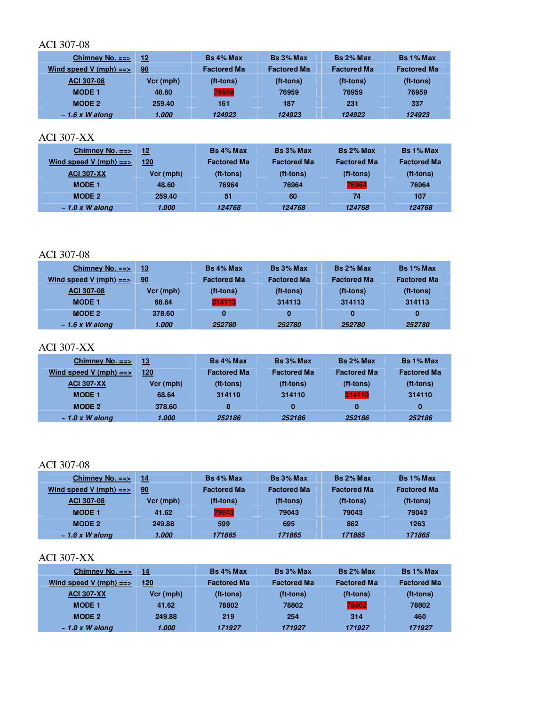| Chimney No. $==$        | 12        | Bs 4% Max          | Bs 3% Max          | Bs 2% Max          | Bs 1% Max          |
|-------------------------|-----------|--------------------|--------------------|--------------------|--------------------|
| Wind speed V (mph) $==$ | 90        | <b>Factored Ma</b> | <b>Factored Ma</b> | <b>Factored Ma</b> | <b>Factored Ma</b> |
| <b>ACI 307-08</b>       | Vcr (mph) | (ft-tons)          | (ft-tons)          | (ft-tons)          | (ft-tons)          |
| <b>MODE 1</b>           | 48.60     | 76959              | 76959              | 76959              | 76959              |
| MODE 2                  | 259.40    | 161                | 187                | 231                | 337                |
| $\sim$ 1.6 x W along    | 1.000     | 124923             | 124923             | 124923             | 124923             |

#### ACI 307-XX

| Chimney No. $==$        | 12        | <b>Bs 4% Max</b>   | Bs 3% Max          | Bs 2% Max          | Bs 1% Max          |
|-------------------------|-----------|--------------------|--------------------|--------------------|--------------------|
| Wind speed V (mph) $==$ | 120       | <b>Factored Ma</b> | <b>Factored Ma</b> | <b>Factored Ma</b> | <b>Factored Ma</b> |
| <b>ACI 307-XX</b>       | Vcr (mph) | (ft-tons)          | (ft-tons)          | (ft-tons)          | (ft-tons)          |
| <b>MODE 1</b>           | 48.60     | 76964              | 76964              | 76964              | 76964              |
| <b>MODE 2</b>           | 259.40    | 51                 | 60                 | 74                 | 107                |
| $\sim$ 1.0 x W along    | 1.000     | 124768             | 124768             | 124768             | 124768             |

#### ACI 307-08

| Chimney No. $==$        | -13       | Bs 4% Max          | Bs 3% Max          | Bs 2% Max          | Bs 1% Max          |
|-------------------------|-----------|--------------------|--------------------|--------------------|--------------------|
| Wind speed V (mph) $==$ | 90        | <b>Factored Ma</b> | <b>Factored Ma</b> | <b>Factored Ma</b> | <b>Factored Ma</b> |
| <b>ACI 307-08</b>       | Vcr (mph) | (ft-tons)          | (ft-tons)          | (ft-tons)          | (ft-tons)          |
| <b>MODE 1</b>           | 68.64     | 314113             | 314113             | 314113             | 314113             |
| MODE 2                  | 378.60    | 0                  | 0                  | 0                  | 0                  |
| $\sim$ 1.6 x W along    | 1.000     | 252780             | 252780             | 252780             | 252780             |

# ACI 307-XX

| Chimney No. $==$        | 13        | <b>Bs</b> 4% Max   | Bs 3% Max          | Bs 2% Max          | Bs 1% Max          |
|-------------------------|-----------|--------------------|--------------------|--------------------|--------------------|
| Wind speed V (mph) $==$ | 120       | <b>Factored Ma</b> | <b>Factored Ma</b> | <b>Factored Ma</b> | <b>Factored Ma</b> |
| <b>ACI 307-XX</b>       | Vcr (mph) | (ft-tons)          | (ft-tons)          | (ft-tons)          | (ft-tons)          |
| <b>MODE 1</b>           | 68.64     | 314110             | 314110             | 314110             | 314110             |
| <b>MODE 2</b>           | 378.60    | $\bf{0}$           | 0                  | 0                  | 0                  |
| $\sim$ 1.0 x W along    | 1.000     | 252186             | 252186             | 252186             | 252186             |

# ACI 307-08

| Chimney No. $==$        | 14        | Bs 4% Max          | Bs 3% Max          | Bs 2% Max          | Bs 1% Max          |
|-------------------------|-----------|--------------------|--------------------|--------------------|--------------------|
| Wind speed V (mph) $==$ | 90        | <b>Factored Ma</b> | <b>Factored Ma</b> | <b>Factored Ma</b> | <b>Factored Ma</b> |
| <b>ACI 307-08</b>       | Vcr (mph) | (ft-tons)          | (ft-tons)          | (ft-tons)          | (ft-tons)          |
| <b>MODE 1</b>           | 41.62     | 79043              | 79043              | 79043              | 79043              |
| <b>MODE 2</b>           | 249.88    | 599                | 695                | 862                | 1263               |
| $\sim$ 1.6 x W along    | 1.000     | 171865             | 171865             | 171865             | 171865             |

| Chimney No. $==$        | 14        | <b>Bs</b> 4% Max   | Bs 3% Max          | <b>Bs 2% Max</b>   | Bs 1% Max          |
|-------------------------|-----------|--------------------|--------------------|--------------------|--------------------|
| Wind speed V (mph) $==$ | 120       | <b>Factored Ma</b> | <b>Factored Ma</b> | <b>Factored Ma</b> | <b>Factored Ma</b> |
| <b>ACI 307-XX</b>       | Vcr (mph) | (ft-tons)          | (ft-tons)          | (ft-tons)          | $(t-tons)$         |
| <b>MODE 1</b>           | 41.62     | 78802              | 78802              | 78802              | 78802              |
| <b>MODE 2</b>           | 249.88    | 219                | 254                | 314                | 460                |
| $\sim$ 1.0 x W along    | 1.000     | 171927             | 171927             | 171927             | 171927             |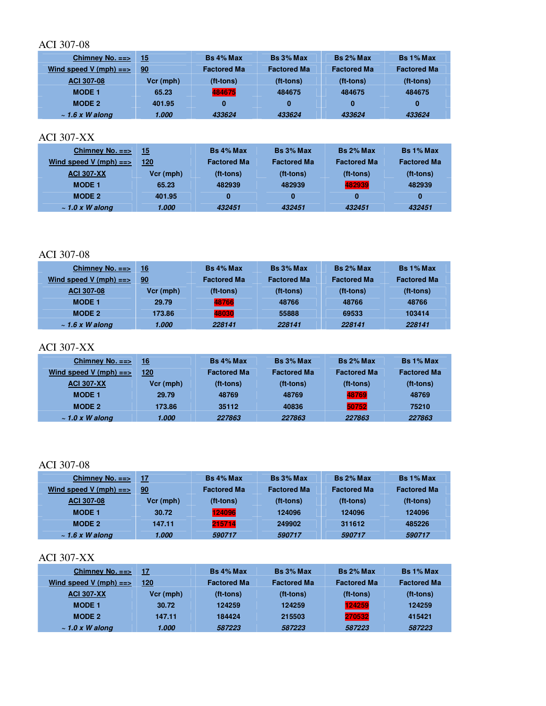| Chimney No. $==$        | 15        | Bs 4% Max          | Bs 3% Max          | Bs 2% Max          | Bs 1% Max          |
|-------------------------|-----------|--------------------|--------------------|--------------------|--------------------|
| Wind speed V (mph) $==$ | 90        | <b>Factored Ma</b> | <b>Factored Ma</b> | <b>Factored Ma</b> | <b>Factored Ma</b> |
| ACI 307-08              | Vcr (mph) | (ft-tons)          | (ft-tons)          | (ft-tons)          | (ft-tons)          |
| <b>MODE 1</b>           | 65.23     | 484675             | 484675             | 484675             | 484675             |
| <b>MODE 2</b>           | 401.95    | 0                  | 0                  | 0                  | 0                  |
| $\sim$ 1.6 x W along    | 1.000     | 433624             | 433624             | 433624             | 433624             |

### ACI 307-XX

| Chimney No. $==$        | 15        | $Bs$ 4% Max        | Bs 3% Max          | Bs 2% Max          | Bs 1% Max          |
|-------------------------|-----------|--------------------|--------------------|--------------------|--------------------|
| Wind speed V (mph) $==$ | 120       | <b>Factored Ma</b> | <b>Factored Ma</b> | <b>Factored Ma</b> | <b>Factored Ma</b> |
| <b>ACI 307-XX</b>       | Vcr (mph) | (ft-tons)          | (ft-tons)          | (ft-tons)          | $(t - t)$          |
| <b>MODE 1</b>           | 65.23     | 482939             | 482939             | 482939             | 482939             |
| MODE 2                  | 401.95    | 0                  | $\bf{0}$           | 0                  | $\bf{0}$           |
| $\sim$ 1.0 x W along    | 1.000     | 432451             | 432451             | 432451             | 432451             |

#### ACI 307-08

| Chimney No. $==$        | 16        | Bs 4% Max          | Bs 3% Max          | Bs 2% Max          | Bs 1% Max          |
|-------------------------|-----------|--------------------|--------------------|--------------------|--------------------|
| Wind speed V (mph) $==$ | 90        | <b>Factored Ma</b> | <b>Factored Ma</b> | <b>Factored Ma</b> | <b>Factored Ma</b> |
| <b>ACI 307-08</b>       | Vcr (mph) | (ft-tons)          | (ft-tons)          | (ft-tons)          | (ft-tons)          |
| <b>MODE 1</b>           | 29.79     | 48766              | 48766              | 48766              | 48766              |
| MODE 2                  | 173.86    | 48030              | 55888              | 69533              | 103414             |
| $\sim$ 1.6 x W along    | 1.000     | 228141             | 228141             | 228141             | 228141             |

# ACI 307-XX

| Chimney No. $==$        | 16 <sub>1</sub> | <b>Bs 4% Max</b>   | Bs 3% Max          | Bs 2% Max          | Bs 1% Max          |
|-------------------------|-----------------|--------------------|--------------------|--------------------|--------------------|
| Wind speed V (mph) $==$ | 120             | <b>Factored Ma</b> | <b>Factored Ma</b> | <b>Factored Ma</b> | <b>Factored Ma</b> |
| <b>ACI 307-XX</b>       | Vcr (mph)       | (ft-tons)          | (ft-tons)          | (ft-tons)          | $(t - t)$          |
| <b>MODE 1</b>           | 29.79           | 48769              | 48769              | 48769              | 48769              |
| <b>MODE 2</b>           | 173.86          | 35112              | 40836              | 50752              | 75210              |
| $\sim$ 1.0 x W along    | 1.000           | 227863             | 227863             | 227863             | 227863             |

### ACI 307-08

| Chimney No. $==$        | 17        | Bs 4% Max          | Bs 3% Max          | Bs 2% Max          | <b>Bs 1% Max</b>   |
|-------------------------|-----------|--------------------|--------------------|--------------------|--------------------|
| Wind speed V (mph) $==$ | 90        | <b>Factored Ma</b> | <b>Factored Ma</b> | <b>Factored Ma</b> | <b>Factored Ma</b> |
| <b>ACI 307-08</b>       | Vcr (mph) | (ft-tons)          | (ft-tons)          | (ft-tons)          | (ft-tons)          |
| <b>MODE 1</b>           | 30.72     | 124096             | 124096             | 124096             | 124096             |
| <b>MODE 2</b>           | 147.11    | 215714             | 249902             | 311612             | 485226             |
| $\sim$ 1.6 x W along    | 1.000     | 590717             | 590717             | 590717             | 590717             |

| Chimney No. $==$        | 17        | <b>Bs</b> 4% Max   | <b>Bs 3% Max</b>   | Bs 2% Max          | Bs 1% Max          |
|-------------------------|-----------|--------------------|--------------------|--------------------|--------------------|
| Wind speed V (mph) $==$ | 120       | <b>Factored Ma</b> | <b>Factored Ma</b> | <b>Factored Ma</b> | <b>Factored Ma</b> |
| <b>ACI 307-XX</b>       | Vcr (mph) | (ft-tons)          | (ft-tons)          | (ft-tons)          | (ft-tons)          |
| <b>MODE 1</b>           | 30.72     | 124259             | 124259             | 124259             | 124259             |
| MODE 2                  | 147.11    | 184424             | 215503             | 270532             | 415421             |
| $\sim$ 1.0 x W along    | 1.000     | 587223             | 587223             | 587223             | 587223             |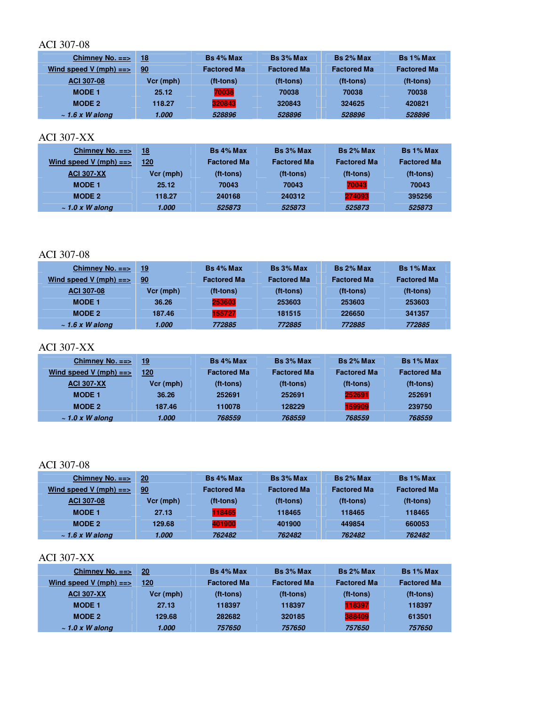| Chimney No. $==$        | 18        | $Bs$ 4% Max        | Bs 3% Max          | $Bs 2%$ Max        | Bs 1% Max          |
|-------------------------|-----------|--------------------|--------------------|--------------------|--------------------|
| Wind speed V (mph) $==$ | 90        | <b>Factored Ma</b> | <b>Factored Ma</b> | <b>Factored Ma</b> | <b>Factored Ma</b> |
| <b>ACI 307-08</b>       | Vcr (mph) | (ft-tons)          | (ft-tons)          | (ft-tons)          | (ft-tons)          |
| <b>MODE 1</b>           | 25.12     | 70038              | 70038              | 70038              | 70038              |
| <b>MODE 2</b>           | 118.27    | 320843             | 320843             | 324625             | 420821             |
| $\sim$ 1.6 x W along    | 1.000     | 528896             | 528896             | 528896             | 528896             |

### ACI 307-XX

| Chimney No. $==$        | 18        | Bs 4% Max          | Bs 3% Max          | Bs 2% Max          | Bs 1% Max          |
|-------------------------|-----------|--------------------|--------------------|--------------------|--------------------|
| Wind speed V (mph) $==$ | 120       | <b>Factored Ma</b> | <b>Factored Ma</b> | <b>Factored Ma</b> | <b>Factored Ma</b> |
| <b>ACI 307-XX</b>       | Vcr (mph) | (ft-tons)          | (ft-tons)          | (ft-tons)          | $(t - t)$          |
| <b>MODE 1</b>           | 25.12     | 70043              | 70043              | 70043              | 70043              |
| MODE 2                  | 118.27    | 240168             | 240312             | 274093             | 395256             |
| $\sim$ 1.0 x W along    | 1.000     | 525873             | 525873             | 525873             | 525873             |

#### ACI 307-08

| Chimney No. $==$        | -19       | Bs 4% Max          | Bs 3% Max          | Bs 2% Max          | Bs 1% Max          |
|-------------------------|-----------|--------------------|--------------------|--------------------|--------------------|
| Wind speed V (mph) $==$ | 90        | <b>Factored Ma</b> | <b>Factored Ma</b> | <b>Factored Ma</b> | <b>Factored Ma</b> |
| ACI 307-08              | Vcr (mph) | (ft-tons)          | (ft-tons)          | (ft-tons)          | (ft-tons)          |
| <b>MODE 1</b>           | 36.26     | 253603             | 253603             | 253603             | 253603             |
| <b>MODE 2</b>           | 187.46    | 155727             | 181515             | 226650             | 341357             |
| $\sim$ 1.6 x W along    | 1.000     | 772885             | 772885             | 772885             | 772885             |

# ACI 307-XX

| Chimney No. $==$        | 19        | <b>Bs</b> 4% Max   | Bs 3% Max          | Bs 2% Max          | Bs 1% Max          |
|-------------------------|-----------|--------------------|--------------------|--------------------|--------------------|
| Wind speed V (mph) $==$ | 120       | <b>Factored Ma</b> | <b>Factored Ma</b> | <b>Factored Ma</b> | <b>Factored Ma</b> |
| <b>ACI 307-XX</b>       | Vcr (mph) | (ft-tons)          | (ft-tons)          | (ft-tons)          | (ft-tons)          |
| <b>MODE 1</b>           | 36.26     | 252691             | 252691             | 252691             | 252691             |
| <b>MODE 2</b>           | 187.46    | 110078             | 128229             | 159909             | 239750             |
| $\sim$ 1.0 x W along    | 1.000     | 768559             | 768559             | 768559             | 768559             |

### ACI 307-08

| Chimney No. $==$        | 20        | <b>Bs 4% Max</b>   | Bs 3% Max          | Bs 2% Max          | Bs 1% Max          |
|-------------------------|-----------|--------------------|--------------------|--------------------|--------------------|
| Wind speed V (mph) $==$ | 90        | <b>Factored Ma</b> | <b>Factored Ma</b> | <b>Factored Ma</b> | <b>Factored Ma</b> |
| ACI 307-08              | Vcr (mph) | (ft-tons)          | (ft-tons)          | (ft-tons)          | (ft-tons)          |
| <b>MODE 1</b>           | 27.13     | 118465             | 118465             | 118465             | 118465             |
| MODE 2                  | 129.68    | 401900             | 401900             | 449854             | 660053             |
| $\sim$ 1.6 x W along    | 1.000     | 762482             | 762482             | 762482             | 762482             |

| Chimney No. $==$        | 20        | <b>Bs</b> 4% Max   | Bs 3% Max          | Bs 2% Max          | Bs 1% Max          |
|-------------------------|-----------|--------------------|--------------------|--------------------|--------------------|
| Wind speed V (mph) $==$ | 120       | <b>Factored Ma</b> | <b>Factored Ma</b> | <b>Factored Ma</b> | <b>Factored Ma</b> |
| <b>ACI 307-XX</b>       | Vcr (mph) | (ft-tons)          | (ft-tons)          | (ft-tons)          | (ft-tons)          |
| <b>MODE 1</b>           | 27.13     | 118397             | 118397             | 118397             | 118397             |
| MODE 2                  | 129.68    | 282682             | 320185             | 388409             | 613501             |
| $\sim$ 1.0 x W along    | 1.000     | 757650             | 757650             | 757650             | 757650             |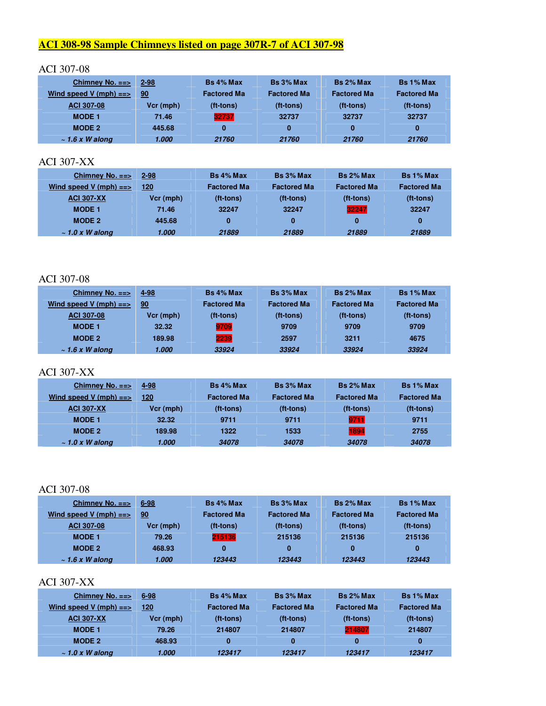# **ACI 308-98 Sample Chimneys listed on page 307R-7 of ACI 307-98**

#### ACI 307-08

| Chimney No. $==$        | $2 - 98$  | Bs 4% Max          | Bs 3% Max          | Bs 2% Max          | Bs 1% Max          |
|-------------------------|-----------|--------------------|--------------------|--------------------|--------------------|
| Wind speed V (mph) $==$ | 90        | <b>Factored Ma</b> | <b>Factored Ma</b> | <b>Factored Ma</b> | <b>Factored Ma</b> |
| <b>ACI 307-08</b>       | Vcr (mph) | (ft-tons)          | (ft-tons)          | (ft-tons)          | (ft-tons)          |
| <b>MODE 1</b>           | 71.46     | 32737              | 32737              | 32737              | 32737              |
| MODE 2                  | 445.68    | 0                  | 0                  | 0                  | 0                  |
| $\sim$ 1.6 x W along    | 1.000     | 21760              | 21760              | 21760              | 21760              |

#### ACI 307-XX

| Chimney No. $==$        | $2 - 98$  | <b>Bs 4% Max</b>   | Bs 3% Max          | Bs 2% Max          | <b>Bs 1% Max</b>   |
|-------------------------|-----------|--------------------|--------------------|--------------------|--------------------|
| Wind speed V (mph) $==$ | 120       | <b>Factored Ma</b> | <b>Factored Ma</b> | <b>Factored Ma</b> | <b>Factored Ma</b> |
| <b>ACI 307-XX</b>       | Vcr (mph) | (ft-tons)          | (ft-tons)          | (ft-tons)          | (ft-tons)          |
| <b>MODE 1</b>           | 71.46     | 32247              | 32247              | 32247              | 32247              |
| MODE 2                  | 445.68    | 0                  | 0                  | 0                  | 0                  |
| $\sim$ 1.0 x W along    | 1.000     | 21889              | 21889              | 21889              | 21889              |

#### ACI 307-08

| Chimney No. $==$        | 4-98      | Bs 4% Max          | Bs 3% Max          | Bs 2% Max          | <b>Bs 1% Max</b>   |
|-------------------------|-----------|--------------------|--------------------|--------------------|--------------------|
| Wind speed V (mph) $==$ | 90        | <b>Factored Ma</b> | <b>Factored Ma</b> | <b>Factored Ma</b> | <b>Factored Ma</b> |
| <b>ACI 307-08</b>       | Vcr (mph) | (ft-tons)          | (ft-tons)          | (ft-tons)          | (ft-tons)          |
| <b>MODE 1</b>           | 32.32     | 9709               | 9709               | 9709               | 9709               |
| MODE 2                  | 189.98    | 2239               | 2597               | 3211               | 4675               |
| $\sim$ 1.6 x W along    | 1.000     | 33924              | 33924              | 33924              | 33924              |

#### ACI 307-XX

| Chimney No. $==$        | 4-98      | <b>Bs 4% Max</b>   | Bs 3% Max          | Bs 2% Max          | Bs 1% Max          |
|-------------------------|-----------|--------------------|--------------------|--------------------|--------------------|
| Wind speed V (mph) $==$ | 120       | <b>Factored Ma</b> | <b>Factored Ma</b> | <b>Factored Ma</b> | <b>Factored Ma</b> |
| <b>ACI 307-XX</b>       | Vcr (mph) | (ft-tons)          | (ft-tons)          | (ft-tons)          | (ft-tons)          |
| <b>MODE 1</b>           | 32.32     | 9711               | 9711               | 9711               | 9711               |
| <b>MODE 2</b>           | 189.98    | 1322               | 1533               | 1894               | 2755               |
| $\sim$ 1.0 x W along    | 1.000     | 34078              | 34078              | 34078              | 34078              |

# ACI 307-08

| Chimney No. $==$        | $6 - 98$  | Bs 4% Max          | Bs 3% Max          | Bs 2% Max          | <b>Bs 1% Max</b>   |
|-------------------------|-----------|--------------------|--------------------|--------------------|--------------------|
| Wind speed V (mph) $==$ | 90        | <b>Factored Ma</b> | <b>Factored Ma</b> | <b>Factored Ma</b> | <b>Factored Ma</b> |
| <b>ACI 307-08</b>       | Vcr (mph) | (ft-tons)          | (ft-tons)          | (ft-tons)          | (ft-tons)          |
| <b>MODE 1</b>           | 79.26     | 215136             | 215136             | 215136             | 215136             |
| <b>MODE 2</b>           | 468.93    | $\bf{0}$           | 0                  | 0                  | 0                  |
| $\sim$ 1.6 x W along    | 1.000     | 123443             | 123443             | 123443             | 123443             |

| Chimney No. $==$        | $6 - 98$    | <b>Bs</b> 4% Max   | Bs 3% Max          | Bs 2% Max          | Bs 1% Max          |
|-------------------------|-------------|--------------------|--------------------|--------------------|--------------------|
| Wind speed V (mph) $==$ | 120         | <b>Factored Ma</b> | <b>Factored Ma</b> | <b>Factored Ma</b> | <b>Factored Ma</b> |
| <b>ACI 307-XX</b>       | $Vcr$ (mph) | (ft-tons)          | (ft-tons)          | (ft-tons)          | (ft-tons)          |
| <b>MODE 1</b>           | 79.26       | 214807             | 214807             | 214807             | 214807             |
| MODE 2                  | 468.93      | 0                  | 0                  | 0                  | 0                  |
| $\sim$ 1.0 x W along    | 1.000       | 123417             | 123417             | 123417             | 123417             |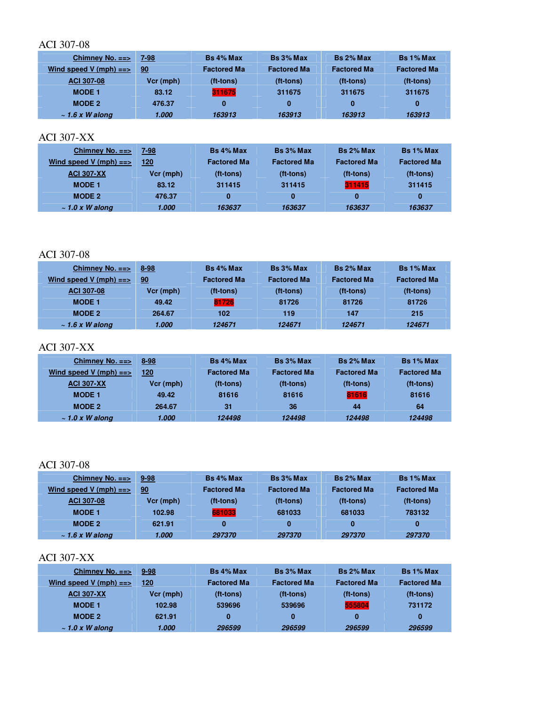| Chimney No. $==$        | 7-98      | Bs 4% Max          | Bs 3% Max          | Bs 2% Max          | Bs 1% Max          |
|-------------------------|-----------|--------------------|--------------------|--------------------|--------------------|
| Wind speed V (mph) $==$ | 90        | <b>Factored Ma</b> | <b>Factored Ma</b> | <b>Factored Ma</b> | <b>Factored Ma</b> |
| <b>ACI 307-08</b>       | Vcr (mph) | (ft-tons)          | (ft-tons)          | (ft-tons)          | (ft-tons)          |
| <b>MODE 1</b>           | 83.12     | 311675             | 311675             | 311675             | 311675             |
| <b>MODE 2</b>           | 476.37    | 0                  | 0                  | 0                  | 0                  |
| $\sim$ 1.6 x W along    | 1.000     | 163913             | 163913             | 163913             | 163913             |

### ACI 307-XX

| Chimney No. $==$        | 7-98      | $Bs$ 4% Max        | Bs 3% Max          | Bs 2% Max          | Bs 1% Max          |
|-------------------------|-----------|--------------------|--------------------|--------------------|--------------------|
| Wind speed V (mph) $==$ | 120       | <b>Factored Ma</b> | <b>Factored Ma</b> | <b>Factored Ma</b> | <b>Factored Ma</b> |
| <b>ACI 307-XX</b>       | Vcr (mph) | (ft-tons)          | (ft-tons)          | (ft-tons)          | $(t-tons)$         |
| <b>MODE 1</b>           | 83.12     | 311415             | 311415             | 311415             | 311415             |
| MODE 2                  | 476.37    | 0                  | 0                  | 0                  | 0                  |
| $\sim$ 1.0 x W along    | 1.000     | 163637             | 163637             | 163637             | 163637             |

#### ACI 307-08

| Chimney No. $==$        | $8 - 98$  | Bs 4% Max          | Bs 3% Max          | Bs 2% Max          | Bs 1% Max          |
|-------------------------|-----------|--------------------|--------------------|--------------------|--------------------|
| Wind speed V (mph) $==$ | 90        | <b>Factored Ma</b> | <b>Factored Ma</b> | <b>Factored Ma</b> | <b>Factored Ma</b> |
| ACI 307-08              | Vcr (mph) | (ft-tons)          | (ft-tons)          | (ft-tons)          | (ft-tons)          |
| <b>MODE 1</b>           | 49.42     | 81726              | 81726              | 81726              | 81726              |
| MODE 2                  | 264.67    | 102                | 119                | 147                | 215                |
| $\sim$ 1.6 x W along    | 1.000     | 124671             | 124671             | 124671             | 124671             |

# ACI 307-XX

| Chimney No. $==$        | 8-98      | <b>Bs 4% Max</b>   | Bs 3% Max          | Bs 2% Max          | Bs 1% Max          |
|-------------------------|-----------|--------------------|--------------------|--------------------|--------------------|
| Wind speed V (mph) $==$ | 120       | <b>Factored Ma</b> | <b>Factored Ma</b> | <b>Factored Ma</b> | <b>Factored Ma</b> |
| <b>ACI 307-XX</b>       | Vcr (mph) | (ft-tons)          | (ft-tons)          | (ft-tons)          | $(t - t)$          |
| <b>MODE 1</b>           | 49.42     | 81616              | 81616              | 81616              | 81616              |
| <b>MODE 2</b>           | 264.67    | 31                 | 36                 | 44                 | 64                 |
| $\sim$ 1.0 x W along    | 1.000     | 124498             | 124498             | 124498             | 124498             |

# ACI 307-08

| Chimney No. $==$        | $9 - 98$  | Bs 4% Max          | Bs 3% Max          | Bs 2% Max          | Bs 1% Max          |
|-------------------------|-----------|--------------------|--------------------|--------------------|--------------------|
| Wind speed V (mph) $==$ | 90        | <b>Factored Ma</b> | <b>Factored Ma</b> | <b>Factored Ma</b> | <b>Factored Ma</b> |
| <b>ACI 307-08</b>       | Vcr (mph) | (ft-tons)          | (ft-tons)          | (ft-tons)          | (ft-tons)          |
| <b>MODE 1</b>           | 102.98    | 681033             | 681033             | 681033             | 783132             |
| <b>MODE 2</b>           | 621.91    | 0                  | 0                  |                    | 0                  |
| $\sim$ 1.6 x W along    | 1.000     | 297370             | 297370             | 297370             | 297370             |

| Chimney No. $==$        | $9 - 98$  | <b>Bs</b> 4% Max   | Bs 3% Max          | Bs 2% Max          | Bs 1% Max          |
|-------------------------|-----------|--------------------|--------------------|--------------------|--------------------|
| Wind speed V (mph) $==$ | 120       | <b>Factored Ma</b> | <b>Factored Ma</b> | <b>Factored Ma</b> | <b>Factored Ma</b> |
| <b>ACI 307-XX</b>       | Vcr (mph) | (ft-tons)          | (ft-tons)          | (ft-tons)          | (ft-tons)          |
| <b>MODE 1</b>           | 102.98    | 539696             | 539696             | 555804             | 731172             |
| MODE 2                  | 621.91    | 0                  | 0                  | 0                  | 0                  |
| $\sim$ 1.0 x W along    | 1.000     | 296599             | 296599             | 296599             | 296599             |